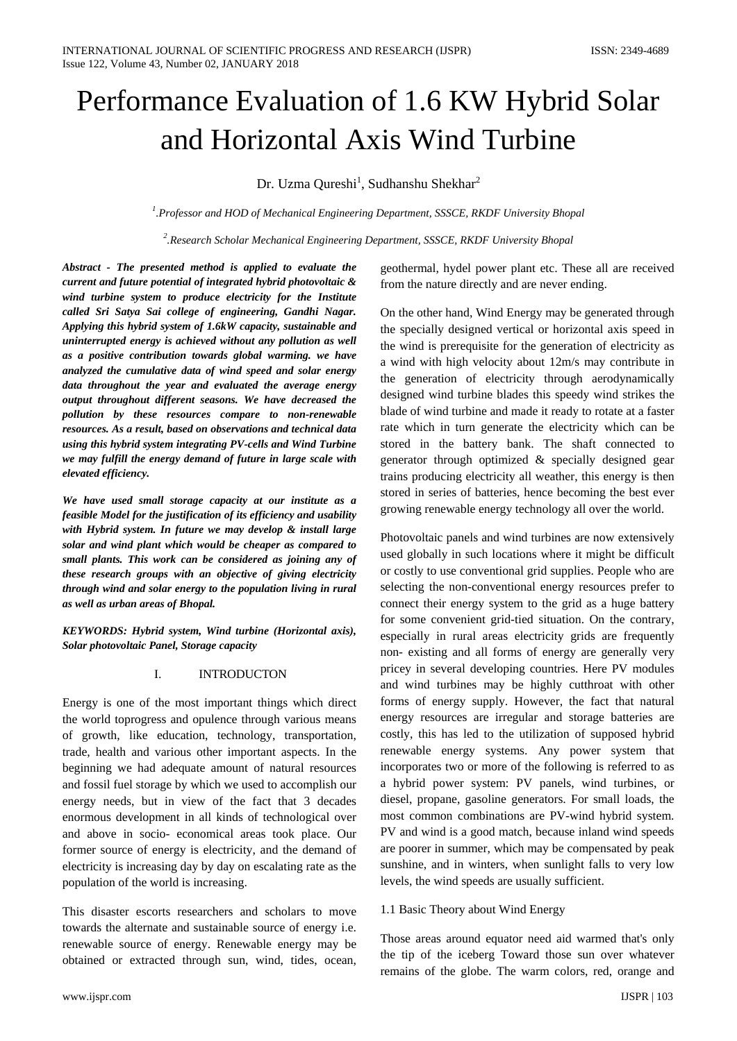# Performance Evaluation of 1.6 KW Hybrid Solar and Horizontal Axis Wind Turbine

Dr. Uzma Qureshi<sup>1</sup>, Sudhanshu Shekhar<sup>2</sup>

*1 .Professor and HOD of Mechanical Engineering Department, SSSCE, RKDF University Bhopal*

*2 .Research Scholar Mechanical Engineering Department, SSSCE, RKDF University Bhopal*

*Abstract - The presented method is applied to evaluate the current and future potential of integrated hybrid photovoltaic & wind turbine system to produce electricity for the Institute called Sri Satya Sai college of engineering, Gandhi Nagar. Applying this hybrid system of 1.6kW capacity, sustainable and uninterrupted energy is achieved without any pollution as well as a positive contribution towards global warming. we have analyzed the cumulative data of wind speed and solar energy data throughout the year and evaluated the average energy output throughout different seasons. We have decreased the pollution by these resources compare to non-renewable resources. As a result, based on observations and technical data using this hybrid system integrating PV-cells and Wind Turbine we may fulfill the energy demand of future in large scale with elevated efficiency.*

*We have used small storage capacity at our institute as a feasible Model for the justification of its efficiency and usability with Hybrid system. In future we may develop & install large solar and wind plant which would be cheaper as compared to small plants. This work can be considered as joining any of these research groups with an objective of giving electricity through wind and solar energy to the population living in rural as well as urban areas of Bhopal.* 

*KEYWORDS: Hybrid system, Wind turbine (Horizontal axis), Solar photovoltaic Panel, Storage capacity*

## I. INTRODUCTON

Energy is one of the most important things which direct the world toprogress and opulence through various means of growth, like education, technology, transportation, trade, health and various other important aspects. In the beginning we had adequate amount of natural resources and fossil fuel storage by which we used to accomplish our energy needs, but in view of the fact that 3 decades enormous development in all kinds of technological over and above in socio- economical areas took place. Our former source of energy is electricity, and the demand of electricity is increasing day by day on escalating rate as the population of the world is increasing.

This disaster escorts researchers and scholars to move towards the alternate and sustainable source of energy i.e. renewable source of energy. Renewable energy may be obtained or extracted through sun, wind, tides, ocean,

geothermal, hydel power plant etc. These all are received from the nature directly and are never ending.

On the other hand, Wind Energy may be generated through the specially designed vertical or horizontal axis speed in the wind is prerequisite for the generation of electricity as a wind with high velocity about 12m/s may contribute in the generation of electricity through aerodynamically designed wind turbine blades this speedy wind strikes the blade of wind turbine and made it ready to rotate at a faster rate which in turn generate the electricity which can be stored in the battery bank. The shaft connected to generator through optimized & specially designed gear trains producing electricity all weather, this energy is then stored in series of batteries, hence becoming the best ever growing renewable energy technology all over the world.

Photovoltaic panels and wind turbines are now extensively used globally in such locations where it might be difficult or costly to use conventional grid supplies. People who are selecting the non-conventional energy resources prefer to connect their energy system to the grid as a huge battery for some convenient grid-tied situation. On the contrary, especially in rural areas electricity grids are frequently non- existing and all forms of energy are generally very pricey in several developing countries. Here PV modules and wind turbines may be highly cutthroat with other forms of energy supply. However, the fact that natural energy resources are irregular and storage batteries are costly, this has led to the utilization of supposed hybrid renewable energy systems. Any power system that incorporates two or more of the following is referred to as a hybrid power system: PV panels, wind turbines, or diesel, propane, gasoline generators. For small loads, the most common combinations are PV-wind hybrid system. PV and wind is a good match, because inland wind speeds are poorer in summer, which may be compensated by peak sunshine, and in winters, when sunlight falls to very low levels, the wind speeds are usually sufficient.

## 1.1 Basic Theory about Wind Energy

Those areas around equator need aid warmed that's only the tip of the iceberg Toward those sun over whatever remains of the globe. The warm colors, red, orange and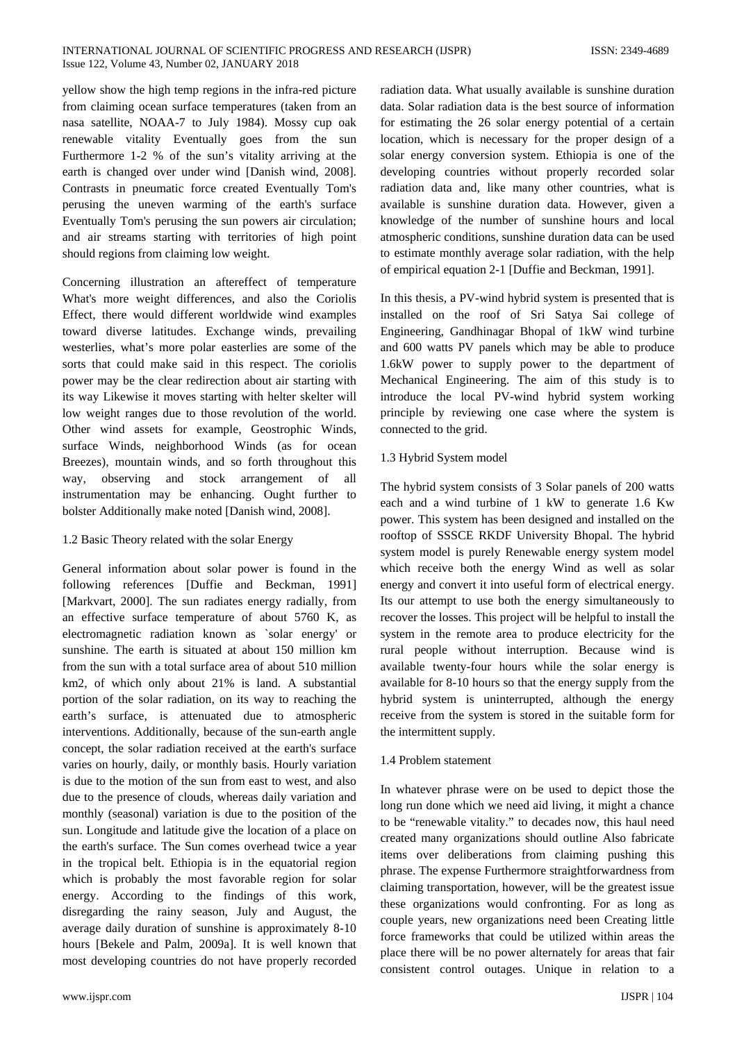yellow show the high temp regions in the infra-red picture from claiming ocean surface temperatures (taken from an nasa satellite, NOAA-7 to July 1984). Mossy cup oak renewable vitality Eventually goes from the sun Furthermore 1-2 % of the sun's vitality arriving at the earth is changed over under wind [Danish wind, 2008]. Contrasts in pneumatic force created Eventually Tom's perusing the uneven warming of the earth's surface Eventually Tom's perusing the sun powers air circulation; and air streams starting with territories of high point should regions from claiming low weight.

Concerning illustration an aftereffect of temperature What's more weight differences, and also the Coriolis Effect, there would different worldwide wind examples toward diverse latitudes. Exchange winds, prevailing westerlies, what's more polar easterlies are some of the sorts that could make said in this respect. The coriolis power may be the clear redirection about air starting with its way Likewise it moves starting with helter skelter will low weight ranges due to those revolution of the world. Other wind assets for example, Geostrophic Winds, surface Winds, neighborhood Winds (as for ocean Breezes), mountain winds, and so forth throughout this way, observing and stock arrangement of all instrumentation may be enhancing. Ought further to bolster Additionally make noted [Danish wind, 2008].

## 1.2 Basic Theory related with the solar Energy

General information about solar power is found in the following references [Duffie and Beckman, 1991] [Markvart, 2000]. The sun radiates energy radially, from an effective surface temperature of about 5760 K, as electromagnetic radiation known as `solar energy' or sunshine. The earth is situated at about 150 million km from the sun with a total surface area of about 510 million km2, of which only about 21% is land. A substantial portion of the solar radiation, on its way to reaching the earth's surface, is attenuated due to atmospheric interventions. Additionally, because of the sun-earth angle concept, the solar radiation received at the earth's surface varies on hourly, daily, or monthly basis. Hourly variation is due to the motion of the sun from east to west, and also due to the presence of clouds, whereas daily variation and monthly (seasonal) variation is due to the position of the sun. Longitude and latitude give the location of a place on the earth's surface. The Sun comes overhead twice a year in the tropical belt. Ethiopia is in the equatorial region which is probably the most favorable region for solar energy. According to the findings of this work, disregarding the rainy season, July and August, the average daily duration of sunshine is approximately 8-10 hours [Bekele and Palm, 2009a]. It is well known that most developing countries do not have properly recorded

radiation data. What usually available is sunshine duration data. Solar radiation data is the best source of information for estimating the 26 solar energy potential of a certain location, which is necessary for the proper design of a solar energy conversion system. Ethiopia is one of the developing countries without properly recorded solar radiation data and, like many other countries, what is available is sunshine duration data. However, given a knowledge of the number of sunshine hours and local atmospheric conditions, sunshine duration data can be used to estimate monthly average solar radiation, with the help of empirical equation 2-1 [Duffie and Beckman, 1991].

In this thesis, a PV-wind hybrid system is presented that is installed on the roof of Sri Satya Sai college of Engineering, Gandhinagar Bhopal of 1kW wind turbine and 600 watts PV panels which may be able to produce 1.6kW power to supply power to the department of Mechanical Engineering. The aim of this study is to introduce the local PV-wind hybrid system working principle by reviewing one case where the system is connected to the grid.

# 1.3 Hybrid System model

The hybrid system consists of 3 Solar panels of 200 watts each and a wind turbine of 1 kW to generate 1.6 Kw power. This system has been designed and installed on the rooftop of SSSCE RKDF University Bhopal. The hybrid system model is purely Renewable energy system model which receive both the energy Wind as well as solar energy and convert it into useful form of electrical energy. Its our attempt to use both the energy simultaneously to recover the losses. This project will be helpful to install the system in the remote area to produce electricity for the rural people without interruption. Because wind is available twenty-four hours while the solar energy is available for 8-10 hours so that the energy supply from the hybrid system is uninterrupted, although the energy receive from the system is stored in the suitable form for the intermittent supply.

# 1.4 Problem statement

In whatever phrase were on be used to depict those the long run done which we need aid living, it might a chance to be "renewable vitality." to decades now, this haul need created many organizations should outline Also fabricate items over deliberations from claiming pushing this phrase. The expense Furthermore straightforwardness from claiming transportation, however, will be the greatest issue these organizations would confronting. For as long as couple years, new organizations need been Creating little force frameworks that could be utilized within areas the place there will be no power alternately for areas that fair consistent control outages. Unique in relation to a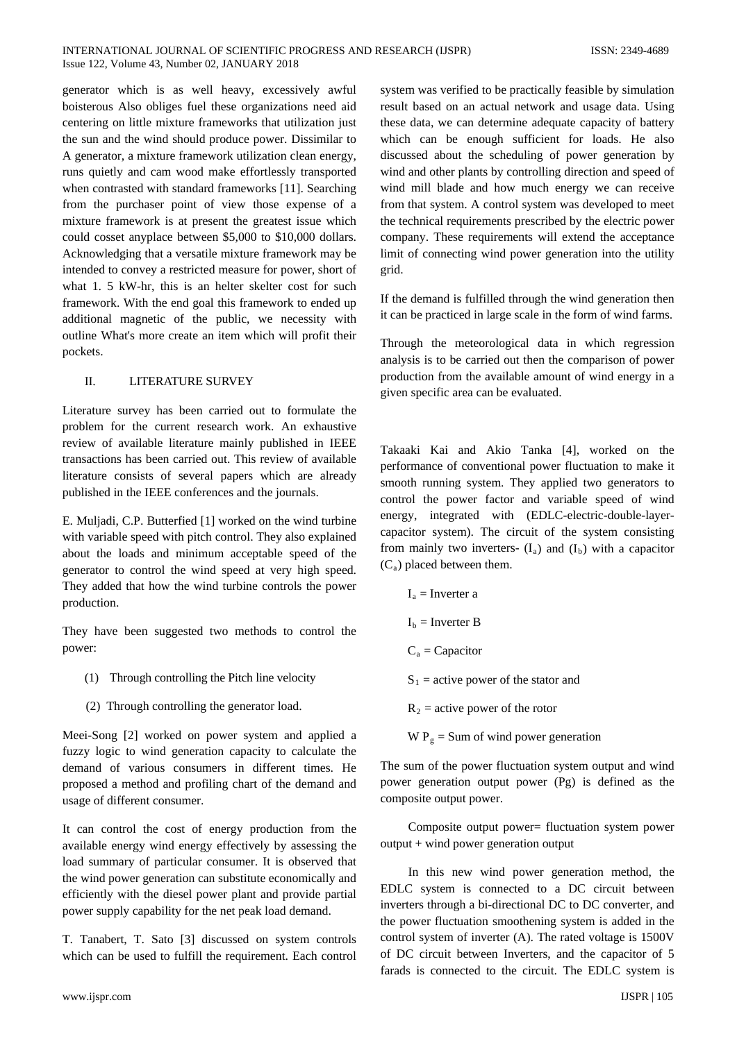generator which is as well heavy, excessively awful boisterous Also obliges fuel these organizations need aid centering on little mixture frameworks that utilization just the sun and the wind should produce power. Dissimilar to A generator, a mixture framework utilization clean energy, runs quietly and cam wood make effortlessly transported when contrasted with standard frameworks [11]. Searching from the purchaser point of view those expense of a mixture framework is at present the greatest issue which could cosset anyplace between \$5,000 to \$10,000 dollars. Acknowledging that a versatile mixture framework may be intended to convey a restricted measure for power, short of what 1. 5 kW-hr, this is an helter skelter cost for such framework. With the end goal this framework to ended up additional magnetic of the public, we necessity with outline What's more create an item which will profit their pockets.

# II. LITERATURE SURVEY

Literature survey has been carried out to formulate the problem for the current research work. An exhaustive review of available literature mainly published in IEEE transactions has been carried out. This review of available literature consists of several papers which are already published in the IEEE conferences and the journals.

E. Muljadi, C.P. Butterfied [1] worked on the wind turbine with variable speed with pitch control. They also explained about the loads and minimum acceptable speed of the generator to control the wind speed at very high speed. They added that how the wind turbine controls the power production.

They have been suggested two methods to control the power:

- (1) Through controlling the Pitch line velocity
- (2) Through controlling the generator load.

Meei-Song [2] worked on power system and applied a fuzzy logic to wind generation capacity to calculate the demand of various consumers in different times. He proposed a method and profiling chart of the demand and usage of different consumer.

It can control the cost of energy production from the available energy wind energy effectively by assessing the load summary of particular consumer. It is observed that the wind power generation can substitute economically and efficiently with the diesel power plant and provide partial power supply capability for the net peak load demand.

T. Tanabert, T. Sato [3] discussed on system controls which can be used to fulfill the requirement. Each control

system was verified to be practically feasible by simulation result based on an actual network and usage data. Using these data, we can determine adequate capacity of battery which can be enough sufficient for loads. He also discussed about the scheduling of power generation by wind and other plants by controlling direction and speed of wind mill blade and how much energy we can receive from that system. A control system was developed to meet the technical requirements prescribed by the electric power company. These requirements will extend the acceptance limit of connecting wind power generation into the utility grid.

If the demand is fulfilled through the wind generation then it can be practiced in large scale in the form of wind farms.

Through the meteorological data in which regression analysis is to be carried out then the comparison of power production from the available amount of wind energy in a given specific area can be evaluated.

Takaaki Kai and Akio Tanka [4], worked on the performance of conventional power fluctuation to make it smooth running system. They applied two generators to control the power factor and variable speed of wind energy, integrated with (EDLC-electric-double-layercapacitor system). The circuit of the system consisting from mainly two inverters-  $(I_a)$  and  $(I_b)$  with a capacitor  $(C_a)$  placed between them.

```
I_a = Inverter a
I_b = Inverter B
C_a = CapacitorS_1 = active power of the stator and
R_2 = active power of the rotor
W P_g = Sum of wind power generation
```
The sum of the power fluctuation system output and wind power generation output power (Pg) is defined as the composite output power.

Composite output power= fluctuation system power output + wind power generation output

In this new wind power generation method, the EDLC system is connected to a DC circuit between inverters through a bi-directional DC to DC converter, and the power fluctuation smoothening system is added in the control system of inverter (A). The rated voltage is 1500V of DC circuit between Inverters, and the capacitor of 5 farads is connected to the circuit. The EDLC system is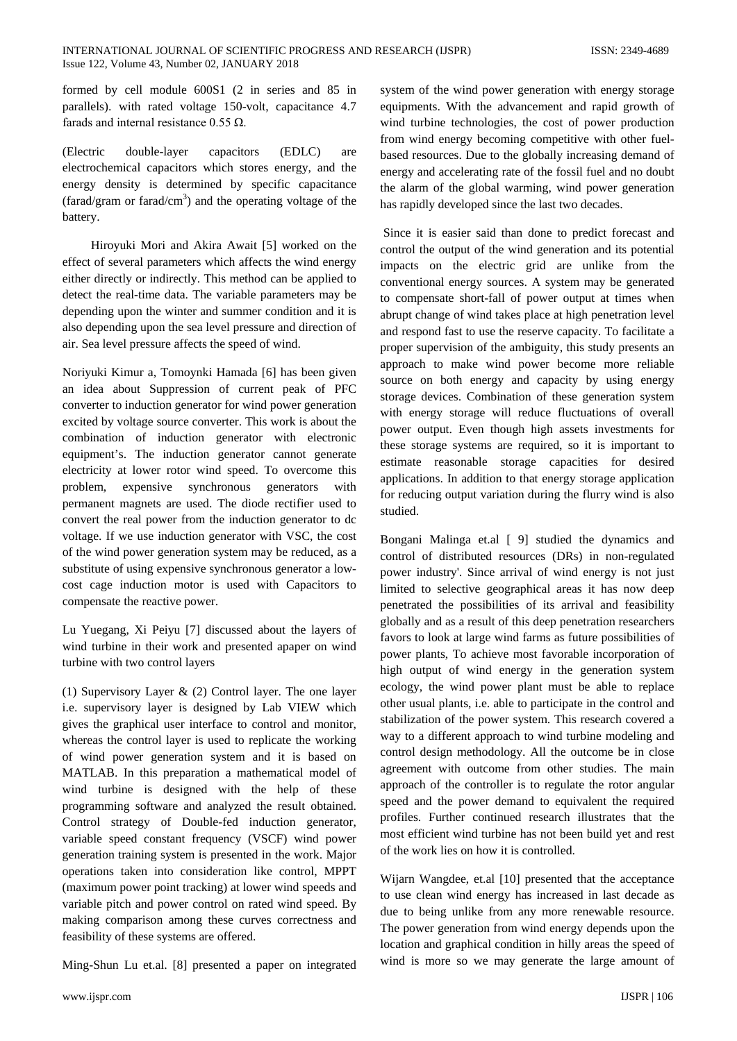formed by cell module 600S1 (2 in series and 85 in parallels). with rated voltage 150-volt, capacitance 4.7 farads and internal resistance  $0.55 \Omega$ .

(Electric double-layer capacitors (EDLC) are electrochemical capacitors which stores energy, and the energy density is determined by specific capacitance (farad/gram or farad/cm<sup>3</sup>) and the operating voltage of the battery.

Hiroyuki Mori and Akira Await [5] worked on the effect of several parameters which affects the wind energy either directly or indirectly. This method can be applied to detect the real-time data. The variable parameters may be depending upon the winter and summer condition and it is also depending upon the sea level pressure and direction of air. Sea level pressure affects the speed of wind.

Noriyuki Kimur a, Tomoynki Hamada [6] has been given an idea about Suppression of current peak of PFC converter to induction generator for wind power generation excited by voltage source converter. This work is about the combination of induction generator with electronic equipment's. The induction generator cannot generate electricity at lower rotor wind speed. To overcome this problem, expensive synchronous generators with permanent magnets are used. The diode rectifier used to convert the real power from the induction generator to dc voltage. If we use induction generator with VSC, the cost of the wind power generation system may be reduced, as a substitute of using expensive synchronous generator a lowcost cage induction motor is used with Capacitors to compensate the reactive power.

Lu Yuegang, Xi Peiyu [7] discussed about the layers of wind turbine in their work and presented apaper on wind turbine with two control layers

(1) Supervisory Layer & (2) Control layer. The one layer i.e. supervisory layer is designed by Lab VIEW which gives the graphical user interface to control and monitor, whereas the control layer is used to replicate the working of wind power generation system and it is based on MATLAB. In this preparation a mathematical model of wind turbine is designed with the help of these programming software and analyzed the result obtained. Control strategy of Double-fed induction generator, variable speed constant frequency (VSCF) wind power generation training system is presented in the work. Major operations taken into consideration like control, MPPT (maximum power point tracking) at lower wind speeds and variable pitch and power control on rated wind speed. By making comparison among these curves correctness and feasibility of these systems are offered.

Ming-Shun Lu et.al. [8] presented a paper on integrated

system of the wind power generation with energy storage equipments. With the advancement and rapid growth of wind turbine technologies, the cost of power production from wind energy becoming competitive with other fuelbased resources. Due to the globally increasing demand of energy and accelerating rate of the fossil fuel and no doubt the alarm of the global warming, wind power generation has rapidly developed since the last two decades.

Since it is easier said than done to predict forecast and control the output of the wind generation and its potential impacts on the electric grid are unlike from the conventional energy sources. A system may be generated to compensate short-fall of power output at times when abrupt change of wind takes place at high penetration level and respond fast to use the reserve capacity. To facilitate a proper supervision of the ambiguity, this study presents an approach to make wind power become more reliable source on both energy and capacity by using energy storage devices. Combination of these generation system with energy storage will reduce fluctuations of overall power output. Even though high assets investments for these storage systems are required, so it is important to estimate reasonable storage capacities for desired applications. In addition to that energy storage application for reducing output variation during the flurry wind is also studied.

Bongani Malinga et.al [ 9] studied the dynamics and control of distributed resources (DRs) in non-regulated power industry'. Since arrival of wind energy is not just limited to selective geographical areas it has now deep penetrated the possibilities of its arrival and feasibility globally and as a result of this deep penetration researchers favors to look at large wind farms as future possibilities of power plants, To achieve most favorable incorporation of high output of wind energy in the generation system ecology, the wind power plant must be able to replace other usual plants, i.e. able to participate in the control and stabilization of the power system. This research covered a way to a different approach to wind turbine modeling and control design methodology. All the outcome be in close agreement with outcome from other studies. The main approach of the controller is to regulate the rotor angular speed and the power demand to equivalent the required profiles. Further continued research illustrates that the most efficient wind turbine has not been build yet and rest of the work lies on how it is controlled.

Wijarn Wangdee, et.al [10] presented that the acceptance to use clean wind energy has increased in last decade as due to being unlike from any more renewable resource. The power generation from wind energy depends upon the location and graphical condition in hilly areas the speed of wind is more so we may generate the large amount of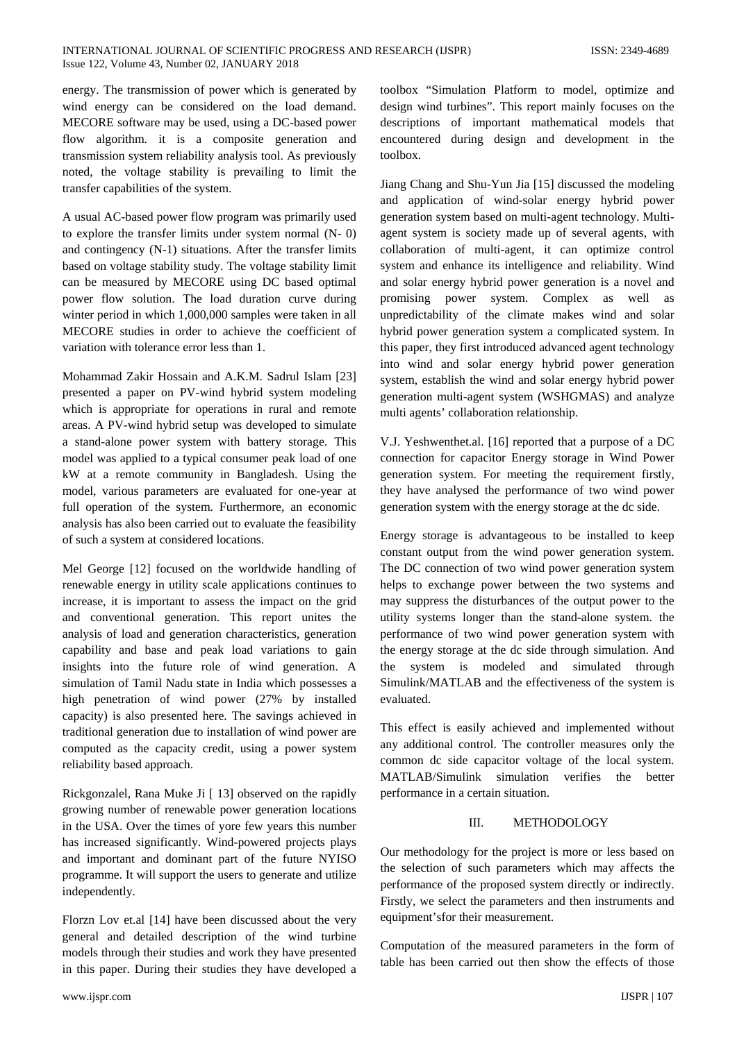#### INTERNATIONAL JOURNAL OF SCIENTIFIC PROGRESS AND RESEARCH (IJSPR) ISSN: 2349-4689 Issue 122, Volume 43, Number 02, JANUARY 2018

energy. The transmission of power which is generated by wind energy can be considered on the load demand. MECORE software may be used, using a DC-based power flow algorithm. it is a composite generation and transmission system reliability analysis tool. As previously noted, the voltage stability is prevailing to limit the transfer capabilities of the system.

A usual AC-based power flow program was primarily used to explore the transfer limits under system normal (N- 0) and contingency (N-1) situations. After the transfer limits based on voltage stability study. The voltage stability limit can be measured by MECORE using DC based optimal power flow solution. The load duration curve during winter period in which 1,000,000 samples were taken in all MECORE studies in order to achieve the coefficient of variation with tolerance error less than 1.

Mohammad Zakir Hossain and A.K.M. Sadrul Islam [23] presented a paper on PV-wind hybrid system modeling which is appropriate for operations in rural and remote areas. A PV-wind hybrid setup was developed to simulate a stand-alone power system with battery storage. This model was applied to a typical consumer peak load of one kW at a remote community in Bangladesh. Using the model, various parameters are evaluated for one-year at full operation of the system. Furthermore, an economic analysis has also been carried out to evaluate the feasibility of such a system at considered locations.

Mel George [12] focused on the worldwide handling of renewable energy in utility scale applications continues to increase, it is important to assess the impact on the grid and conventional generation. This report unites the analysis of load and generation characteristics, generation capability and base and peak load variations to gain insights into the future role of wind generation. A simulation of Tamil Nadu state in India which possesses a high penetration of wind power (27% by installed capacity) is also presented here. The savings achieved in traditional generation due to installation of wind power are computed as the capacity credit, using a power system reliability based approach.

Rickgonzalel, Rana Muke Ji [ 13] observed on the rapidly growing number of renewable power generation locations in the USA. Over the times of yore few years this number has increased significantly. Wind-powered projects plays and important and dominant part of the future NYISO programme. It will support the users to generate and utilize independently.

Florzn Lov et.al [14] have been discussed about the very general and detailed description of the wind turbine models through their studies and work they have presented in this paper. During their studies they have developed a

toolbox "Simulation Platform to model, optimize and design wind turbines". This report mainly focuses on the descriptions of important mathematical models that encountered during design and development in the toolbox.

Jiang Chang and Shu-Yun Jia [15] discussed the modeling and application of wind-solar energy hybrid power generation system based on multi-agent technology. Multiagent system is society made up of several agents, with collaboration of multi-agent, it can optimize control system and enhance its intelligence and reliability. Wind and solar energy hybrid power generation is a novel and promising power system. Complex as well as unpredictability of the climate makes wind and solar hybrid power generation system a complicated system. In this paper, they first introduced advanced agent technology into wind and solar energy hybrid power generation system, establish the wind and solar energy hybrid power generation multi-agent system (WSHGMAS) and analyze multi agents' collaboration relationship.

V.J. Yeshwenthet.al. [16] reported that a purpose of a DC connection for capacitor Energy storage in Wind Power generation system. For meeting the requirement firstly, they have analysed the performance of two wind power generation system with the energy storage at the dc side.

Energy storage is advantageous to be installed to keep constant output from the wind power generation system. The DC connection of two wind power generation system helps to exchange power between the two systems and may suppress the disturbances of the output power to the utility systems longer than the stand-alone system. the performance of two wind power generation system with the energy storage at the dc side through simulation. And the system is modeled and simulated through Simulink/MATLAB and the effectiveness of the system is evaluated.

This effect is easily achieved and implemented without any additional control. The controller measures only the common dc side capacitor voltage of the local system. MATLAB/Simulink simulation verifies the better performance in a certain situation.

## III. METHODOLOGY

Our methodology for the project is more or less based on the selection of such parameters which may affects the performance of the proposed system directly or indirectly. Firstly, we select the parameters and then instruments and equipment'sfor their measurement.

Computation of the measured parameters in the form of table has been carried out then show the effects of those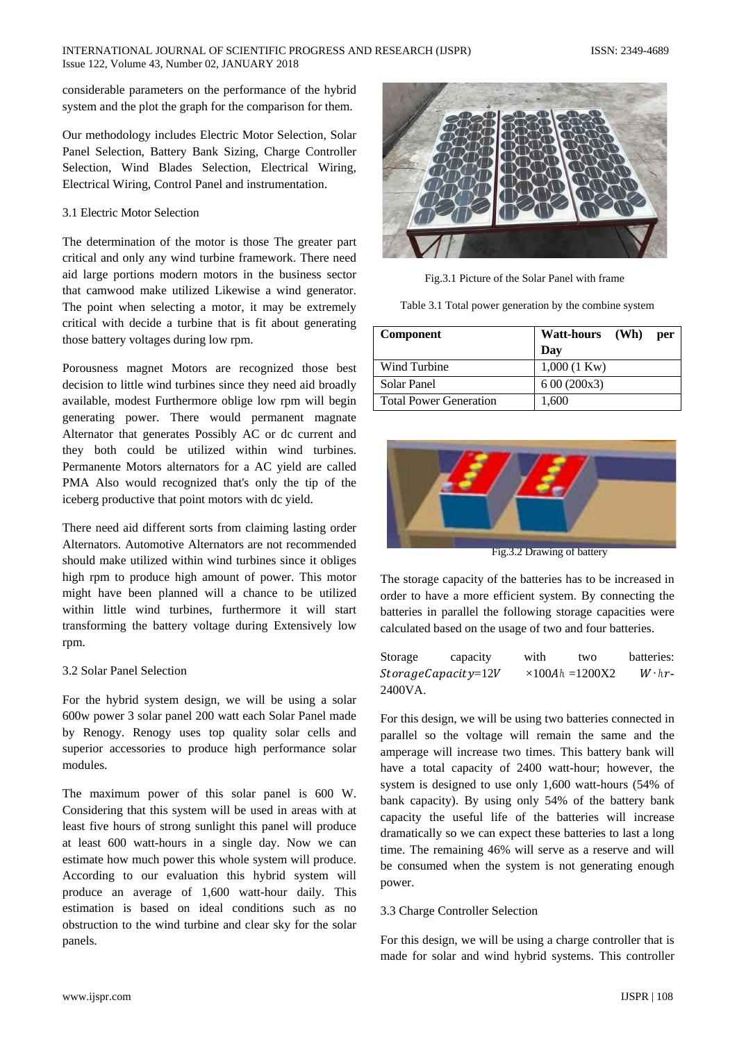#### INTERNATIONAL JOURNAL OF SCIENTIFIC PROGRESS AND RESEARCH (IJSPR) ISSN: 2349-4689 Issue 122, Volume 43, Number 02, JANUARY 2018

considerable parameters on the performance of the hybrid system and the plot the graph for the comparison for them.

Our methodology includes Electric Motor Selection, Solar Panel Selection, Battery Bank Sizing, Charge Controller Selection, Wind Blades Selection, Electrical Wiring, Electrical Wiring, Control Panel and instrumentation.

#### 3.1 Electric Motor Selection

The determination of the motor is those The greater part critical and only any wind turbine framework. There need aid large portions modern motors in the business sector that camwood make utilized Likewise a wind generator. The point when selecting a motor, it may be extremely critical with decide a turbine that is fit about generating those battery voltages during low rpm.

Porousness magnet Motors are recognized those best decision to little wind turbines since they need aid broadly available, modest Furthermore oblige low rpm will begin generating power. There would permanent magnate Alternator that generates Possibly AC or dc current and they both could be utilized within wind turbines. Permanente Motors alternators for a AC yield are called PMA Also would recognized that's only the tip of the iceberg productive that point motors with dc yield.

There need aid different sorts from claiming lasting order Alternators. Automotive Alternators are not recommended should make utilized within wind turbines since it obliges high rpm to produce high amount of power. This motor might have been planned will a chance to be utilized within little wind turbines, furthermore it will start transforming the battery voltage during Extensively low rpm.

#### 3.2 Solar Panel Selection

For the hybrid system design, we will be using a solar 600w power 3 solar panel 200 watt each Solar Panel made by Renogy. Renogy uses top quality solar cells and superior accessories to produce high performance solar modules.

The maximum power of this solar panel is 600 W. Considering that this system will be used in areas with at least five hours of strong sunlight this panel will produce at least 600 watt-hours in a single day. Now we can estimate how much power this whole system will produce. According to our evaluation this hybrid system will produce an average of 1,600 watt-hour daily. This estimation is based on ideal conditions such as no obstruction to the wind turbine and clear sky for the solar panels.



Fig.3.1 Picture of the Solar Panel with frame

Table 3.1 Total power generation by the combine system

| <b>Component</b>              | Watt-hours (Wh)<br>per |
|-------------------------------|------------------------|
|                               | Day                    |
| Wind Turbine                  | $1,000(1 \text{ Kw})$  |
| Solar Panel                   | 600(200x3)             |
| <b>Total Power Generation</b> | 1,600                  |



Fig.3.2 Drawing of battery

The storage capacity of the batteries has to be increased in order to have a more efficient system. By connecting the batteries in parallel the following storage capacities were calculated based on the usage of two and four batteries.

| Storage | capacity               | with | two                     | batteries:     |
|---------|------------------------|------|-------------------------|----------------|
|         | $Storage Capacity=12V$ |      | $\times 100Ah = 1200X2$ | $W \cdot hr -$ |
| 2400VA. |                        |      |                         |                |

For this design, we will be using two batteries connected in parallel so the voltage will remain the same and the amperage will increase two times. This battery bank will have a total capacity of 2400 watt-hour; however, the system is designed to use only 1,600 watt-hours (54% of bank capacity). By using only 54% of the battery bank capacity the useful life of the batteries will increase dramatically so we can expect these batteries to last a long time. The remaining 46% will serve as a reserve and will be consumed when the system is not generating enough power.

## 3.3 Charge Controller Selection

For this design, we will be using a charge controller that is made for solar and wind hybrid systems. This controller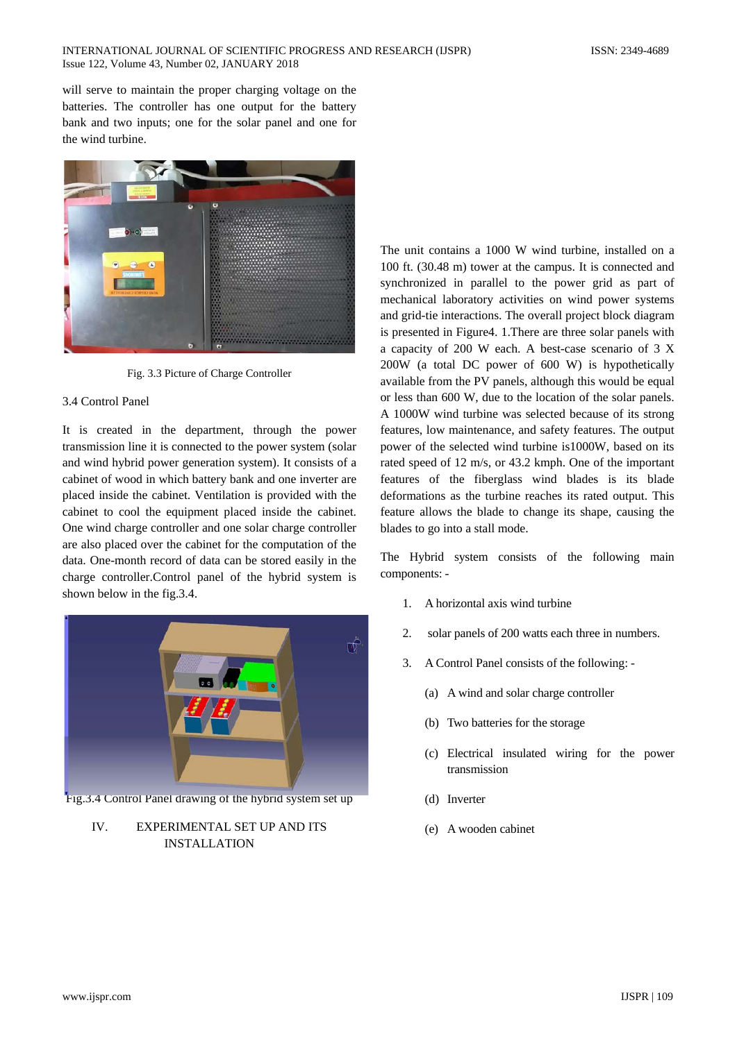will serve to maintain the proper charging voltage on the batteries. The controller has one output for the battery bank and two inputs; one for the solar panel and one for the wind turbine.



Fig. 3.3 Picture of Charge Controller

#### 3.4 Control Panel

It is created in the department, through the power transmission line it is connected to the power system (solar and wind hybrid power generation system). It consists of a cabinet of wood in which battery bank and one inverter are placed inside the cabinet. Ventilation is provided with the cabinet to cool the equipment placed inside the cabinet. One wind charge controller and one solar charge controller are also placed over the cabinet for the computation of the data. One-month record of data can be stored easily in the charge controller.Control panel of the hybrid system is shown below in the fig.3.4.



Fig.3.4 Control Panel drawing of the hybrid system set up

# IV. EXPERIMENTAL SET UP AND ITS INSTALLATION

The unit contains a 1000 W wind turbine, installed on a 100 ft. (30.48 m) tower at the campus. It is connected and synchronized in parallel to the power grid as part of mechanical laboratory activities on wind power systems and grid-tie interactions. The overall project block diagram is presented in Figure4. 1.There are three solar panels with a capacity of 200 W each. A best-case scenario of 3 X 200W (a total DC power of 600 W) is hypothetically available from the PV panels, although this would be equal or less than 600 W, due to the location of the solar panels. A 1000W wind turbine was selected because of its strong features, low maintenance, and safety features. The output power of the selected wind turbine is1000W, based on its rated speed of 12 m/s, or 43.2 kmph. One of the important features of the fiberglass wind blades is its blade deformations as the turbine reaches its rated output. This feature allows the blade to change its shape, causing the blades to go into a stall mode.

The Hybrid system consists of the following main components: -

- 1. A horizontal axis wind turbine
- 2. solar panels of 200 watts each three in numbers.
- 3. A Control Panel consists of the following:
	- (a) A wind and solar charge controller
	- (b) Two batteries for the storage
	- (c) Electrical insulated wiring for the power transmission
	- (d) Inverter
	- (e) A wooden cabinet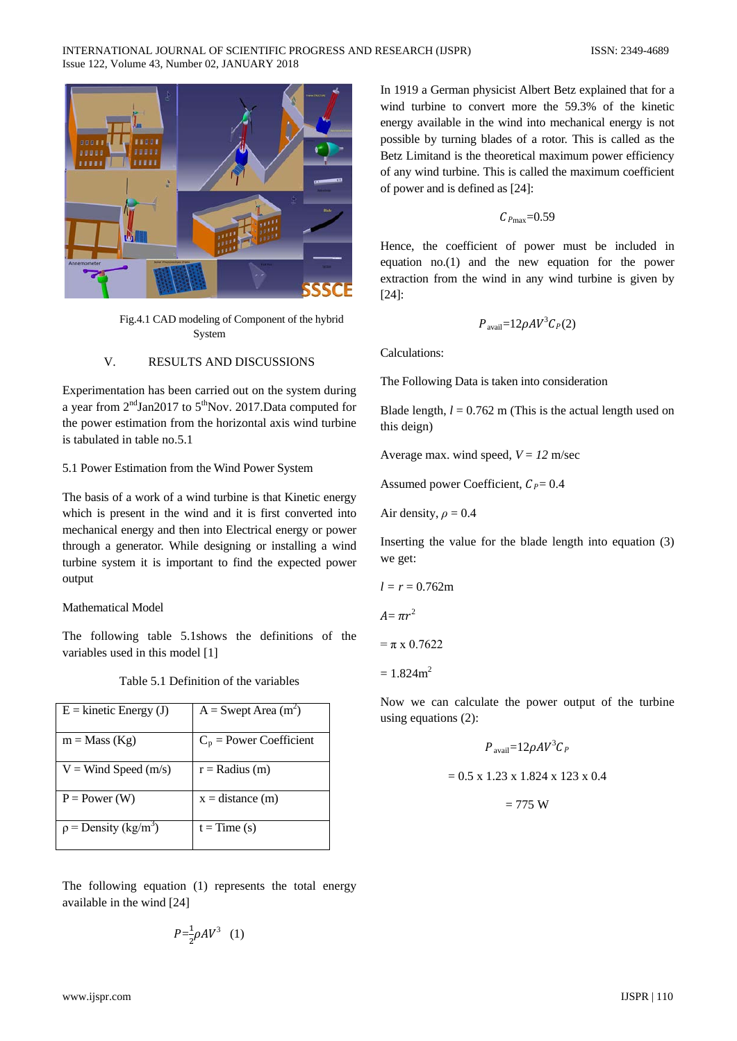

Fig.4.1 CAD modeling of Component of the hybrid System

#### V. RESULTS AND DISCUSSIONS

Experimentation has been carried out on the system during a year from  $2<sup>nd</sup> Jan2017$  to  $5<sup>th</sup> Nov. 2017. Data computed for$ the power estimation from the horizontal axis wind turbine is tabulated in table no.5.1

#### 5.1 Power Estimation from the Wind Power System

The basis of a work of a wind turbine is that Kinetic energy which is present in the wind and it is first converted into mechanical energy and then into Electrical energy or power through a generator. While designing or installing a wind turbine system it is important to find the expected power output

#### Mathematical Model

The following table 5.1shows the definitions of the variables used in this model [1]

|  | Table 5.1 Definition of the variables |  |  |
|--|---------------------------------------|--|--|
|--|---------------------------------------|--|--|

| $E =$ kinetic Energy (J)              | $A =$ Swept Area (m <sup>2</sup> ) |
|---------------------------------------|------------------------------------|
| $m = Mass (Kg)$                       | $C_p$ = Power Coefficient          |
| $V = Wind Speed (m/s)$                | $r =$ Radius (m)                   |
| $P = Power (W)$                       | $x = distance (m)$                 |
| $\rho$ = Density (kg/m <sup>3</sup> ) | $t = Time(s)$                      |

The following equation (1) represents the total energy available in the wind [24]

$$
P = \frac{1}{2} \rho A V^3 \quad (1)
$$

In 1919 a German physicist Albert Betz explained that for a wind turbine to convert more the 59.3% of the kinetic energy available in the wind into mechanical energy is not possible by turning blades of a rotor. This is called as the Betz Limitand is the theoretical maximum power efficiency of any wind turbine. This is called the maximum coefficient of power and is defined as [24]:

$$
C_{P{\rm max}}{=}0.59
$$

Hence, the coefficient of power must be included in equation no.(1) and the new equation for the power extraction from the wind in any wind turbine is given by [24]:

$$
P_{\text{avail}}=12\rho A V^3 C_P(2)
$$

Calculations:

The Following Data is taken into consideration

Blade length,  $l = 0.762$  m (This is the actual length used on this deign)

Average max. wind speed,  $V = 12$  m/sec

Assumed power Coefficient,  $C_P = 0.4$ 

Air density,  $\rho = 0.4$ 

Inserting the value for the blade length into equation (3) we get:

$$
l=r=0.762\mathrm{m}
$$

$$
A=\pi r^2
$$

 $= \pi \times 0.7622$ 

 $= 1.824$ m<sup>2</sup>

Now we can calculate the power output of the turbine using equations (2):

$$
P_{\text{avail}} = 12\rho A V^3 C_P
$$
  
= 0.5 x 1.23 x 1.824 x 123 x 0.4

 $= 775 W$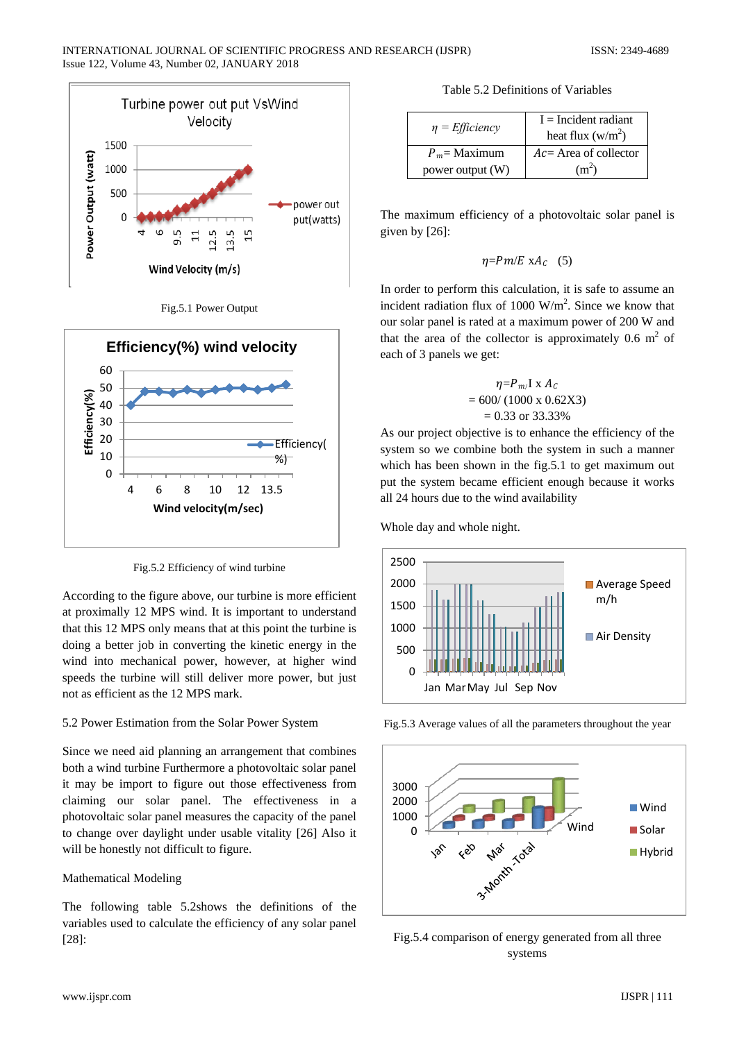





Fig.5.2 Efficiency of wind turbine

According to the figure above, our turbine is more efficient at proximally 12 MPS wind. It is important to understand that this 12 MPS only means that at this point the turbine is doing a better job in converting the kinetic energy in the wind into mechanical power, however, at higher wind speeds the turbine will still deliver more power, but just not as efficient as the 12 MPS mark.

## 5.2 Power Estimation from the Solar Power System

Since we need aid planning an arrangement that combines both a wind turbine Furthermore a photovoltaic solar panel it may be import to figure out those effectiveness from claiming our solar panel. The effectiveness in a photovoltaic solar panel measures the capacity of the panel to change over daylight under usable vitality [26] Also it will be honestly not difficult to figure.

## Mathematical Modeling

The following table 5.2shows the definitions of the variables used to calculate the efficiency of any solar panel [28]:

Table 5.2 Definitions of Variables

| $\eta$ = <i>Efficiency</i> | $I = Incident$ radiant<br>heat flux $(w/m^2)$ |
|----------------------------|-----------------------------------------------|
| $P_m$ = Maximum            | $Ac=$ Area of collector                       |
| power output (W)           | (m <sup>2</sup> )                             |

The maximum efficiency of a photovoltaic solar panel is given by [26]:

$$
\eta = Pm/E \; xA_C \quad (5)
$$

In order to perform this calculation, it is safe to assume an incident radiation flux of 1000  $W/m<sup>2</sup>$ . Since we know that our solar panel is rated at a maximum power of 200 W and that the area of the collector is approximately  $0.6 \text{ m}^2$  of each of 3 panels we get:

$$
\eta = P_{m} I \mathbf{x} A_C
$$
  
= 600/(1000 x 0.62X3)  
= 0.33 or 33.33%

As our project objective is to enhance the efficiency of the system so we combine both the system in such a manner which has been shown in the fig.5.1 to get maximum out put the system became efficient enough because it works all 24 hours due to the wind availability

Whole day and whole night.



Fig.5.3 Average values of all the parameters throughout the year



Fig.5.4 comparison of energy generated from all three systems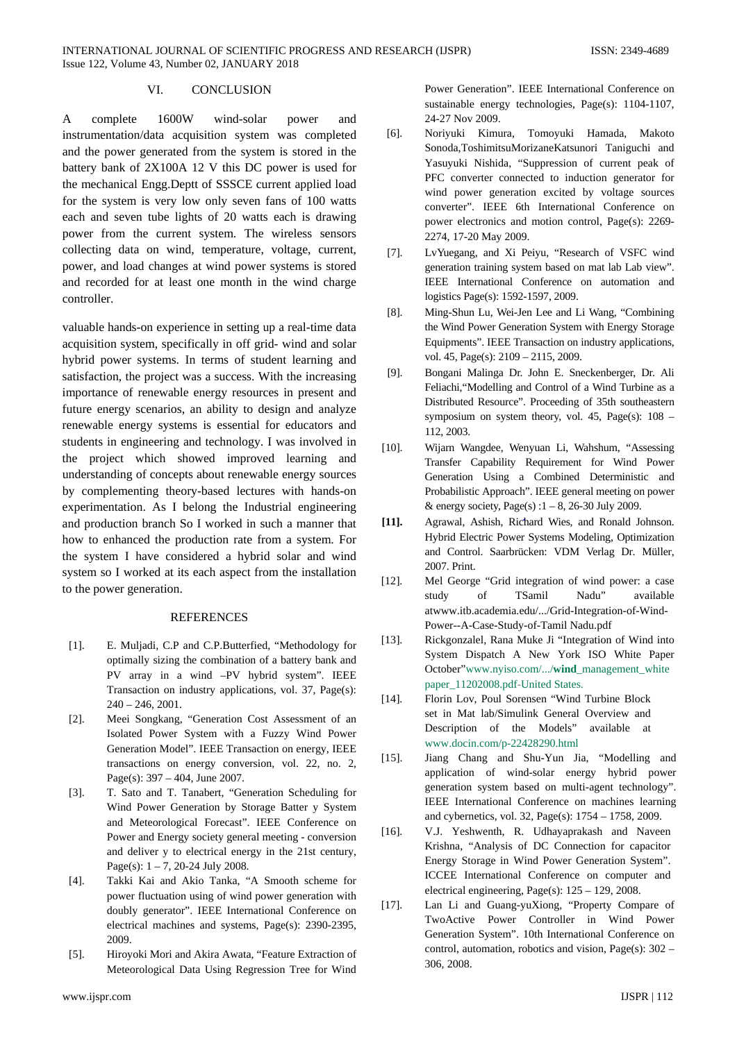## VI. CONCLUSION

A complete 1600W wind-solar power and instrumentation/data acquisition system was completed and the power generated from the system is stored in the battery bank of 2X100A 12 V this DC power is used for the mechanical Engg.Deptt of SSSCE current applied load for the system is very low only seven fans of 100 watts each and seven tube lights of 20 watts each is drawing power from the current system. The wireless sensors collecting data on wind, temperature, voltage, current, power, and load changes at wind power systems is stored and recorded for at least one month in the wind charge controller.

valuable hands-on experience in setting up a real-time data acquisition system, specifically in off grid- wind and solar hybrid power systems. In terms of student learning and satisfaction, the project was a success. With the increasing importance of renewable energy resources in present and future energy scenarios, an ability to design and analyze renewable energy systems is essential for educators and students in engineering and technology. I was involved in the project which showed improved learning and understanding of concepts about renewable energy sources by complementing theory-based lectures with hands-on experimentation. As I belong the Industrial engineering and production branch So I worked in such a manner that how to enhanced the production rate from a system. For the system I have considered a hybrid solar and wind system so I worked at its each aspect from the installation to the power generation.

#### **REFERENCES**

- [1]. E. Muljadi, C.P and C.P.Butterfied, "Methodology for optimally sizing the combination of a battery bank and PV array in a wind –PV hybrid system". IEEE Transaction on industry applications, vol. 37, Page(s): 240 – 246, 2001.
- [2]. Meei Songkang, "Generation Cost Assessment of an Isolated Power System with a Fuzzy Wind Power Generation Model". IEEE Transaction on energy, IEEE transactions on energy conversion, vol. 22, no. 2, Page(s): 397 – 404, June 2007.
- [3]. T. Sato and T. Tanabert, "Generation Scheduling for Wind Power Generation by Storage Batter y System and Meteorological Forecast". IEEE Conference on Power and Energy society general meeting - conversion and deliver y to electrical energy in the 21st century, Page(s):  $1 - 7$ , 20-24 July 2008.
- [4]. Takki Kai and Akio Tanka, "A Smooth scheme for power fluctuation using of wind power generation with doubly generator". IEEE International Conference on electrical machines and systems, Page(s): 2390-2395, 2009.
- [5]. Hiroyoki Mori and Akira Awata, "Feature Extraction of Meteorological Data Using Regression Tree for Wind

Power Generation". IEEE International Conference on sustainable energy technologies, Page(s): 1104-1107, 24-27 Nov 2009.

- [6]. Noriyuki Kimura, Tomoyuki Hamada, Makoto Sonoda,ToshimitsuMorizaneKatsunori Taniguchi and Yasuyuki Nishida, "Suppression of current peak of PFC converter connected to induction generator for wind power generation excited by voltage sources converter". IEEE 6th International Conference on power electronics and motion control, Page(s): 2269- 2274, 17-20 May 2009.
- [7]. LvYuegang, and Xi Peiyu, "Research of VSFC wind generation training system based on mat lab Lab view". IEEE International Conference on automation and logistics Page(s): 1592-1597, 2009.
- [8]. Ming-Shun Lu, Wei-Jen Lee and Li Wang, "Combining the Wind Power Generation System with Energy Storage Equipments". IEEE Transaction on industry applications, vol. 45, Page(s): 2109 – 2115, 2009.
- [9]. Bongani Malinga Dr. John E. Sneckenberger, Dr. Ali Feliachi,"Modelling and Control of a Wind Turbine as a Distributed Resource". Proceeding of 35th southeastern symposium on system theory, vol. 45, Page(s):  $108 -$ 112, 2003.
- [10]. Wijarn Wangdee, Wenyuan Li, Wahshum, "Assessing Transfer Capability Requirement for Wind Power Generation Using a Combined Deterministic and Probabilistic Approach". IEEE general meeting on power & energy society, Page(s) : $1 - 8$ , 26-30 July 2009.
- **[11].** Agrawal, Ashish, Richard Wies, and Ronald Johnson. Hybrid Electric Power Systems Modeling, Optimization and Control. Saarbrücken: VDM Verlag Dr. Müller, 2007. Print.
- [12]. Mel George "Grid integration of wind power: a case study of TSamil Nadu" available atwww.itb.academia.edu/.../Grid-Integration-of-Wind-Power--A-Case-Study-of-Tamil Nadu.pdf
- [13]. Rickgonzalel, Rana Muke Ji "Integration of Wind into System Dispatch A New York ISO White Paper October"www.nyiso.com/.../**wind**\_management\_white paper\_11202008.pdf-United States.
- [14]. Florin Lov, Poul Sorensen "Wind Turbine Block set in Mat lab/Simulink General Overview and Description of the Models" available at www.docin.com/p-22428290.html
- [15]. Jiang Chang and Shu-Yun Jia, "Modelling and application of wind-solar energy hybrid power generation system based on multi-agent technology". IEEE International Conference on machines learning and cybernetics, vol. 32, Page(s): 1754 – 1758, 2009.
- [16]. V.J. Yeshwenth, R. Udhayaprakash and Naveen Krishna, "Analysis of DC Connection for capacitor Energy Storage in Wind Power Generation System". ICCEE International Conference on computer and electrical engineering, Page(s): 125 – 129, 2008.
- [17]. Lan Li and Guang-yuXiong, "Property Compare of TwoActive Power Controller in Wind Power Generation System". 10th International Conference on control, automation, robotics and vision, Page(s): 302 – 306, 2008.